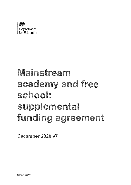

# Mainstream academy and free school: supplemental funding agreement

December 2020 v7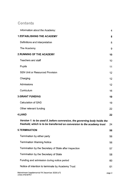# Contents

| Information about the Academy:                                                                                                                       | 4      |
|------------------------------------------------------------------------------------------------------------------------------------------------------|--------|
| <b>1.ESTABLISHING THE ACADEMY</b>                                                                                                                    | 8      |
| Definitions and interpretation                                                                                                                       | 8      |
| The Academy                                                                                                                                          | 9      |
| <b>2. RUNNING OF THE ACADEMY</b>                                                                                                                     | 10     |
| Teachers and staff                                                                                                                                   | 10     |
| Pupils                                                                                                                                               | 11     |
| <b>SEN Unit or Resourced Provision</b>                                                                                                               | 12     |
| Charging                                                                                                                                             | 12     |
| Admissions                                                                                                                                           | 12     |
| Curriculum                                                                                                                                           | 16     |
| <b>3.GRANT FUNDING</b>                                                                                                                               | 19     |
| <b>Calculation of GAG</b>                                                                                                                            | 19     |
| Other relevant funding                                                                                                                               | 22     |
| <b>4.LAND</b>                                                                                                                                        | 22     |
| Version 1: to be used if, before conversion, the governing body holds the<br>freehold, which is to be transferred on conversion to the academy trust | 24     |
| <b>5.TERMINATION</b>                                                                                                                                 | 56     |
| Termination by either party                                                                                                                          | 56     |
| <b>Termination Warning Notice</b>                                                                                                                    | 56     |
| Termination by the Secretary of State after inspection                                                                                               | 57     |
| Termination by the Secretary of State                                                                                                                | 58     |
| Funding and admission during notice period                                                                                                           | 60     |
| Notice of intention to terminate by Academy Trust                                                                                                    | 61     |
| Mainstream Supplemental FA December 2020 (v7)<br>LEGAL\47423679v1                                                                                    | page 2 |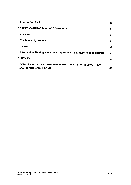| <b>Effect of termination</b>                                                             | 63  |
|------------------------------------------------------------------------------------------|-----|
| <b>6.OTHER CONTRACTUAL ARRANGEMENTS</b>                                                  | 64  |
| Annexes                                                                                  | 64. |
| The Master Agreement                                                                     | 64  |
| General                                                                                  | 65  |
| Information Sharing with Local Authorities - Statutory Responsibilities                  | 65  |
| <b>ANNEXES</b>                                                                           | 68  |
| 7.ADMISSION OF CHILDREN AND YOUNG PEOPLE WITH EDUCATION.<br><b>HEALTH AND CARE PLANS</b> | 68  |

 $\sim$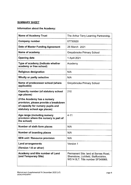#### **SUMMARY SHEET**

# **Information about the Academy:**

| <b>Name of Academy Trust</b>                                                                                                                 | The Arthur Terry Learning Partnership                                                                            |
|----------------------------------------------------------------------------------------------------------------------------------------------|------------------------------------------------------------------------------------------------------------------|
| Company number                                                                                                                               | 07730920                                                                                                         |
| Date of Master Funding Agreement                                                                                                             | 26 March 2021                                                                                                    |
| Name of academy                                                                                                                              | Greysbrooke Primary School                                                                                       |
| <b>Opening date</b>                                                                                                                          | 1 April 2021                                                                                                     |
| Type of academy (indicate whether<br>academy or free school)                                                                                 | Academy                                                                                                          |
| <b>Religious designation</b>                                                                                                                 | N/A                                                                                                              |
| Wholly or partly selective                                                                                                                   | N/A                                                                                                              |
| Name of predecessor school (where<br>applicable)                                                                                             | Greysbrooke Primary School                                                                                       |
| <b>Capacity number (of statutory school</b><br>age places)                                                                                   | 210                                                                                                              |
| (if the Academy has a nursery<br>provision, please provide a breakdown<br>of capacity for nursery pupils and<br>statutory school age places) |                                                                                                                  |
| Age range (including nursery<br>provision where the nursery is part of<br>the school)                                                        | $4 - 11$                                                                                                         |
| Number of sixth form places                                                                                                                  | N/A                                                                                                              |
| Number of boarding places                                                                                                                    | N/A                                                                                                              |
| <b>SEN unit / Resource provision</b>                                                                                                         | N/A                                                                                                              |
| <b>Land arrangements</b><br>(Version 1-8 or other)                                                                                           | Version 1                                                                                                        |
| Academy and title number of Land<br>(and Temporary Site)                                                                                     | Permanent Site: land at Barnes Road,<br>Shenstone, Lichfield, Staffordshire,<br>WS14 OLT. Title number SF549966. |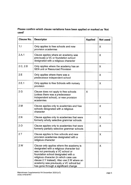# **Please confirm which clause variations have been applied or marked as 'Not used'**

| <b>Clause No.</b> | <b>Descriptor</b>                                                                                                                                                                                                                                                                                                                            | <b>Applied</b> | Not used |
|-------------------|----------------------------------------------------------------------------------------------------------------------------------------------------------------------------------------------------------------------------------------------------------------------------------------------------------------------------------------------|----------------|----------|
| 1.1               | Only applies to free schools and new<br>provision academies                                                                                                                                                                                                                                                                                  |                | X        |
| 2.A.1             | Clause applies where an academy was<br>previously a VC or foundation school<br>designated with a religious character                                                                                                                                                                                                                         |                | X        |
| 2.C, 2.D          | Only applies where the academy has an<br><b>SEN unit or Resourced Provision</b>                                                                                                                                                                                                                                                              |                | X        |
| 2.E               | Only applies where there was a<br>predecessor independent school                                                                                                                                                                                                                                                                             |                | X        |
| 2.E.1             | Only applies to free Schools with nursery<br>provision                                                                                                                                                                                                                                                                                       |                | X        |
| 2.6               | Clause does not apply to free schools<br>(unless there was a predecessor<br>independent school), or new provision<br>academies                                                                                                                                                                                                               | X              |          |
| 2 <sub>M</sub>    | Clause applies only to academies and free<br>schools designated with a religious<br>character                                                                                                                                                                                                                                                |                | X        |
| 2.N               | Clause applies only to academies that were<br>formerly wholly selective grammar schools                                                                                                                                                                                                                                                      |                | X        |
| 2.0               | Clause applies only to academies that were<br>formerly partially selective grammar schools                                                                                                                                                                                                                                                   |                | X        |
| 2.1               | Clause applies to free schools and new<br>provision academies designated with a<br>religious character                                                                                                                                                                                                                                       |                | X        |
| 2 W               | Clause only applies where the academy is<br>designated with a religious character but<br>was not previously a VC school or<br>foundation school designated with a<br>religious character (in which case use<br>clause 2.Y instead). Also use 2.W where an<br>academy was previously a VC school but<br>has gone through a significant change |                | X        |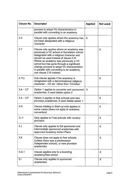| <b>Clause No.</b> | <b>Descriptor</b>                                                                                                                                                                                                                                                                                                                                                                         | <b>Applied</b> | Not used |
|-------------------|-------------------------------------------------------------------------------------------------------------------------------------------------------------------------------------------------------------------------------------------------------------------------------------------------------------------------------------------------------------------------------------------|----------------|----------|
|                   | process to adopt VA characteristics in<br>parallel with converting to an academy                                                                                                                                                                                                                                                                                                          |                |          |
| 2.X               | Clause only applies where the academy has<br>not been designated with a religious<br>character                                                                                                                                                                                                                                                                                            | X              |          |
| 2Y                | Clause only applies where an academy was<br>previously a VC school or foundation school<br>designated with a religious character and<br>should be used instead of clause 2.W.<br>Where an academy was previously a VC<br>school but has gone through a significant<br>change process to adopt VA characteristics<br>in parallel with converting to an academy,<br>use clause 2.W instead. |                | X        |
| 2.Yc)             | Sub-clause applies if the academy is<br>designated with a denominational religious<br>character - CE etc. rather than 'Christian'                                                                                                                                                                                                                                                         |                | X        |
| $3.A - 3.F$       | Option 1 applies to converter and sponsored<br>academies: if used delete option 2                                                                                                                                                                                                                                                                                                         | X              |          |
| $3.A - 3.F$       | Option 2 applies to free schools and new<br>provision academies: if used delete option 1                                                                                                                                                                                                                                                                                                  |                | X        |
| 3.H               | Clause relating to Start-up only applies in<br>some cases (does not apply to academy<br>converters)                                                                                                                                                                                                                                                                                       |                | X        |
| 3.1.1             | Only applies to Free schools with nursery<br>provision                                                                                                                                                                                                                                                                                                                                    |                | X        |
| 3J                | Clause only applies to full sponsored and<br>intermediate sponsored academies with<br>approved Academy Action Plans                                                                                                                                                                                                                                                                       |                | X        |
| 3.K               | Clause does not apply to free schools<br>(unless there was a predecessor<br>independent school), or new provision<br>academies                                                                                                                                                                                                                                                            |                | X        |
| 5.G.1             | Clause applies only to a boarding<br>academy/free school.                                                                                                                                                                                                                                                                                                                                 |                | X        |
| 5.1               | Clause only applies to sponsored<br>academies                                                                                                                                                                                                                                                                                                                                             |                | X        |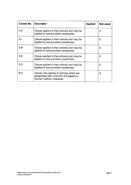| <b>Clause No.</b> | <b>Descriptor</b>                                                                                              | <b>Applied</b> | Not used |
|-------------------|----------------------------------------------------------------------------------------------------------------|----------------|----------|
| 5K                | Clause applies to free schools and may be<br>applied to new provision academies                                |                | X        |
| 5.L               | Clause applies to free schools and may be<br>applied to new provision academies                                |                | X        |
| 5.M               | Clause applies to free schools and may be<br>applied to new provision academies                                |                | X.       |
| 5. N              | Clause applies to free schools and may be<br>applied to new provision academies                                |                | X        |
| 5.0               | Clause applies to free schools and may be<br>applied to new provision academies                                |                | X        |
| 6.H               | Clause only applies to schools which are<br>designated with a Church of England or<br>Roman Catholic character |                | X.       |

 $\bar{\mathcal{L}}$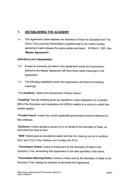# **1. ESTABLISHING THE ACADEMY**

agreement made between the same parties and dated 26 March 2021 (the 1.A This Agreement made between the Secretary of State for Education and The Arthur Terry Learning Partnership is supplemental to the master funding **"Master Agreement").** 

#### **Definitions and interpretation**

- 1.B Except as expressly provided in this Agreement words and expressions defined in the Master Agreement will have those same meanings in this Agreement.
- 1.C The following capitalised words and expressions will have the following meanings:

"The **Academy"** means the Greysbrooke Primary School.

**"Coasting"** has the meaning given by regulations under subsection (3) of section 60B of the Education and Inspections Act 2006 in relation to a school to which that section applies.

**"Funded Hours"** means the current applicable government funded entitlement to free childcare.

**"Guidance"** means guidance issued by or on behalf of the Secretary of State, as amended from time to time.

**"SEN"** means special educational needs and has the meaning set out in sections 20(1) and 21(2) of the Children and Families Act 2014.

**"Termination Notice"** means a notice sent by the Secretary of State to the Academy Trust, terminating this Agreement on the date specified in the notice.

**"Termination Warning Notice"** means a notice sent by the Secretary of State to the Academy Trust, stating his intention to terminate this Agreement.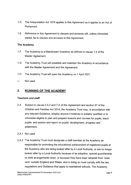- 1.0 The Interpretation Act 1978 applies to this Agreement as it applies to an Act of Parliament.
- 1.E Reference in this Agreement to clauses and annexes will, unless otherwise stated, be to clauses and annexes to this Agreement.

#### **The Academy**

- 1.F The Academy is a Mainstream Academy as defined in clause 1.4 of the Master Agreement.
- 1.G The Academy Trust will establish and maintain the Academy in accordance with the Master Agreement and this Agreement.
- 1.H The Academy Trust will open the Academy on 1 April 2021.
- 1.1 Not used.

### **2. RUNNING OF THE ACADEMY**

#### **Teachers and staff**

- 2.A Subject to clause 2.A.2 and 7.A of this Agreement and section 67 of the Children and Families Act 2014, the Academy Trust may, in accordance with any relevant Guidance, employ anyone it believes is suitably qualified or is otherwise eligible to plan and prepare lessons and courses for pupils, teach pupils, and assess and report on pupils' development, progress and attainment.
- 2.A.1 Not used.
- 2.A.2 The Academy Trust must designate a staff member at the Academy as responsible for promoting the educational achievement of registered pupils at the Academy who are being looked after by a Local Authority, or are no longer looked after by a Local Authority because of an adoption, special guardianship or child arrangements order, or because they have been adopted from 'state care' outside England and Wales, and in doing so must comply with the law, regulations and Guidance that apply to maintained schools. The Academy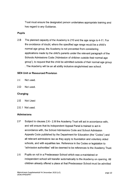Trust must ensure the designated person undertakes appropriate training and has regard to any Guidance.

#### **Pupils**

2.B The planned capacity of the Academy is 210 and the age range is 4-11. For the avoidance of doubt, where the specified age range would be a child's normal age group, the Academy is not prevented from considering applications made by the child's parents under the relevant paragraph of the Schools Admissions Code ('Admission of children outside their normal age group'), to request that the child be admitted outside of their normal age group . The Academy will be an all ability inclusive single/mixed sex school.

#### **SEN Unit or Resourced Provision**

- 2.C Not used.
- 2.D Not used.

#### **Charging**

- 2.E Not Used
- 2.E.1 Not used.

#### **Admissions**

- 2.F Subject to clauses 2.K- 2.M the Academy Trust will act in accordance with, and will ensure that its Independent Appeal Panel is trained to act in accordance with, the School Admissions Code and School Admission Appeals Code published by the Department for Education (the "Codes") and all relevant admissions law as they apply to foundation and voluntary aided schools, and with equalities law. Reference in the Codes or legislation to "admission authorities" will be deemed to be references to the Academy Trust.
- 2.G Pupils on roll in a Predecessor School which was a maintained or independent school will transfer automatically to the Academy on opening. All children already offered a place at that Predecessor School must be admitted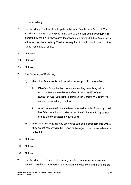to the Academy.

- 2.H The Academy Trust must participate in the local Fair Access Protocol. The Academy Trust must participate in the coordinated admission arrangements operated by the LA in whose area the Academy is situated. If the Academy is a free school, the Academy Trust is not required to participate in coordination for its first intake of pupils.
- 2.1 Not used
- 2.J Not used
- 2.K Not used
- 2.L The Secretary of State may:
	- a) direct the Academy Trust to admit a named pupil to the Academy:
		- i. following an application from a la including complying with a school attendance order as defined in section 437 of the Education Act 1996. Before doing so the Secretary of State will consult the Academy Trust; or
		- ii. where in relation to a specific child or children the Academy Trust has failed to act in accordance with the Codes or this Agreement or has otherwise acted unlawfully; or
	- b) direct the Academy Trust to amend its admission arrangements where they do not comply with the Codes or this Agreement, or are otherwise unlawful.
- 2.M Not used.
- 2.N Not used.
- 2.0 Not used.
- 2.P The Academy Trust must make arrangements to ensure an independent appeals panel is established for the Academy and its clerk and members are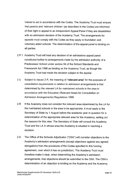trained to act in accordance with the Codes. The Academy Trust must ensure that parents and 'relevant children' (as described in the Codes) are informed of their right to appeal to an Independent Appeal Panel if they are dissatisfied with an admission decision of the Academy Trust. The arrangements for appeals must comply with the Codes as they apply to foundation and voluntary aided schools. The determination of the appeal panel is binding on all parties.

- 2.P.1 Academy Trust will treat any decision of an admissions appeal panel constituted further to arrangements made by the admission authority of a Predecessor School under section 94 of the School Standards and Framework Act 1998 as binding on the Academy Trust, as though the Academy Trust had made the decision subject to the appeal.
- 2.Q Subject to clause 2.R, the meaning of **"relevant area"** for the purposes of consultation requirements in relation to admission arrangements is that determined by the relevant LA for maintained schools in the area in accordance with the Education (Relevant Areas for Consultation on Admission Arrangements) Regulations 1999.
- 2.R If the Academy does not consider the relevant area determined by the LA for the maintained schools in the area to be appropriate, it must apply to the Secretary of State by 1 August before the academic year in question for a determination of the appropriate relevant area for the Academy, setting out the reasons for this view. The Secretary of State will consult the Academy Trust and the LA in whose area the Academy is situated in reaching a decision.
- 2.S The Office of the Schools Adjudicator ("OSA") will consider objections to the Academy's admission arrangements (except objections against any agreed derogations from the provisions of the Codes specified in this funding agreement, over which it has no jurisdiction). The Academy Trust must therefore make it clear, when determining the Academy's admission arrangements, that objections should be submitted to the OSA. The OSA's determination of an objection is binding on the Academy and the Academy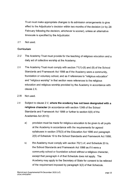Trust must make appropriate changes to its admission arrangements to give effect to the Adjudicator's decision within two months of the decision (or by 28 February following the decision, whichever is sooner), unless an alternative timescale is specified by the Adjudicator.

2.T Not used.

#### **Curriculum**

- 2.U The Academy Trust must provide for the teaching of religious education and a daily act of collective worship at the Academy.
- 2.V The Academy Trust must comply with section 71(1)-(6) and (8) of the School Standards and Framework Act 1998 as if the Academy were a community, foundation or voluntary school, and as if references to "religious education" and "religious worship" in that section were references to the religious education and religious worship provided by the Academy in accordance with clause **2.X.**
- 2.W Not used.
- 2.X Subject to clause 2.V, **where the academy has not been designated with a religious character** (in accordance with section 124B of the School Standards and Framework Act 1998 or further to section 6(8) of the Academies Act 2010):
	- a) provision must be made for religious education to be given to all pupils at the Academy in accordance with the requirements for agreed syllabuses in section 375(3) of the Education Act 1996 and paragraph 2(5) of Schedule 19 to the School Standards and Framework Act 1998;
	- b) the Academy must comply with section 70(1) of, and Schedule 20 to, the School Standards and Framework Act 1998 as if it were a community school or foundation school without a religious character, except that paragraph 4 of that Schedule does not apply. The Academy may apply to the Secretary of State for consent to be relieved of the requirement imposed by paragraph 3(2) of that Schedule.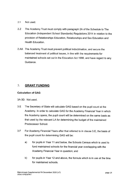- 2.Y Not used.
- 2.Z The Academy Trust must comply with paragraph 2A of the Schedule to The Education (Independent School Standards) Regulations 2014 in relation to the provision of Relationships Education, Relationships and Sex Education and Health Education.
- 2.AA The Academy Trust must prevent political indoctrination, and secure the balanced treatment of political issues, in line with the requirements for maintained schools set out in the Education Act 1996, and have regard to any Guidance.

#### $\mathcal{L}$ **GRANT FUNDING**

#### **Calculation of GAG**

3A-3D. Not used.

- 3.E The Secretary of State will calculate GAG based on the pupil count at the Academy. In order to calculate GAG for the Academy Financial Year in which the Academy opens, the pupil count will be determined on the same basis as that used by the relevant LA for determining the budget of the maintained Predecessor School.
- 3.F For Academy Financial Years after that referred to in clause 3.E, the basis of the pupil count for determining GAG will be:
	- a) for pupils in Year 11 and below, the Schools Census which is used to fund maintained schools for the financial year overlapping with the Academy Financial Year in question; and
	- b) for pupils in Year 12 and above, the formula which is in use at the time for maintained schools.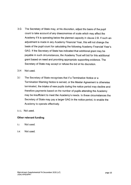- 3.G The Secretary of State may, at his discretion, adjust the basis of the pupil count to take account of any diseconomies of scale which may affect the Academy if it is operating below the planned capacity in clause 2.B. If such an adjustment is made in any Academy Financial Year, this will not change the basis of the pupil count for calculating the following Academy Financial Year's GAG. If the Secretary of State has indicated that additional grant may be payable in such circumstances, the Academy Trust will bid for this additional grant based on need and providing appropriate supporting evidence. The Secretary of State may accept or refuse the bid at his discretion.
- 3.H Not used.
- 3.1 The Secretary of State recognises that if a Termination Notice or a Termination Warning Notice is served, or the Master Agreement is otherwise terminated, the intake of new pupils during the notice period may decline and therefore payments based on the number of pupils attending the Academy may be insufficient to meet the Academy's needs. In these circumstances the Secretary of State may pay a larger GAG in the notice period, to enable the Academy to operate effectively.
- 3.1.1. Not used.

#### **Other relevant funding**

- 3.J Not used.
- 3.K Not used.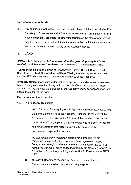#### **Carrying forward of funds**

3.L Any additional grant made in accordance with clause 3.1, for a period after the Secretary of State has served a Termination Notice or a Termination Warning Notice under this Agreement, or otherwise terminates the Master Agreement, may be carried forward without limitation or deduction until the circumstances set out in clause 3.1 cease to apply or the Academy closes.

# 4, **LAND**

#### **Version 1: to be used if, before conversion, the governing body holds the freehold, which is to be transferred on conversion to the academy trust]**

**"Land"** means the freehold land at Greysbrooke Primary School, Barnes Road, Shenstone, Lichfield, Staffordshire, WS14 OLT being the land registered with title number SF549966, which is to be the permanent site of the Academy.

**"Property Notice"** means any order, notice, proposal, demand or other requirement issued by any competent authority which materially affects the Academy Trust's ability to use the Land for the purposes of the Academy or any correspondence that affects the extent of the Land.

#### **Restrictions on Land transfer**

4.A The Academy Trust must:

a) within 28 days of the signing of this Agreement in circumstances where the Land is transferred to the Academy Trust prior to the date of this Agreement, or otherwise within 28 days of the transfer of the Land to the Academy Trust, apply to the Land Registry using Form RX1 for the following restriction (the **"Restriction")** to be entered in the proprietorship register for the Land:

No disposition of the registered estate by the proprietor of the registered estate, or by the proprietor of any registered charge, not being a charge registered before the entry of this restriction, is to be registered without a written consent signed by the Secretary of State for Education, of Sanctuary Buildings, Great Smith Street, London SW1P 3BT;

b) take any further steps reasonably required to ensure that the Restriction is entered on the proprietorship register;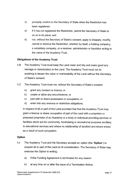- c) promptly confirm to the Secretary of State when the Restriction has been registered;
- d) if it has not registered the Restriction, permit the Secretary of State to do so in its place; and
- e) not, without the Secretary of State's consent, apply to disapply, modify, cancel or remove the Restriction, whether by itself, a holding company, a subsidiary company, or a receiver, administrator or liquidator acting in the name of the Academy Trust.

#### **Obligations of the Academy Trust**

- 4.B The Academy Trust must keep the Land clean and tidy and make good any damage or deterioration to the Land. The Academy Trust must not do anything to lessen the value or marketability of the Land without the Secretary of State's consent.
- 4.C The Academy Trust must not, without the Secretary of State's consent:
	- a) grant any consent or licence; or
	- b) create or allow any encumbrance; or
	- c) part with or share possession or occupation; or
	- d) enter into any onerous or restrictive obligations,

in respect of all or part of the Land provided that that the Academy Trust may grant a licence or share occupation of part of the Land with a proprietor or proposed proprietor of an Academy or a body or individual providing services or facilities which are for community, fundraising or recreational purposes ancillary to educational services and where no relationship of landlord and tenant arises as a result of such occupation.

#### **Option**

- 4.D The Academy Trust and the Secretary accepts an option (the **"Option")** to acquire all or part of the Land at nil consideration. The Secretary of State may exercise the Option in writing;
	- a) if this Funding Agreement is terminated for any reason:
	- b) at any time on or after the issue of a Termination Notice;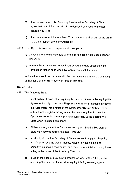- c) if, under clause 4.H, the Academy Trust and the Secretary of State agree that part of the Land should be demised or leased to another academy trust; or
- d) if, under clause 4.J, the Academy Trust cannot use all or part of the Land as the permanent site of the Academy.
- 4.D.1 If the Option is exercised, completion will take place
	- a) 28 days after the exercise date where a Termination Notice has not been issued; or
	- b) where a Termination Notice has been issued, the date specified in the Termination Notice as to when this Agreement shall terminate.

and in either case in accordance with the Law Society's Standard Conditions of Sale for Commercial Property in force at that date.

#### **Option notice**

- 4.E The Academy Trust:
	- a) must, within 14 days after acquiring the Land or, if later, after signing this Agreement, apply to the Land Registry on Form AN1 (including a copy of this Agreement) for a notice of the Option (the **"Option Notice")** to be entered in the register, taking any further steps required to have the Option Notice registered and promptly confirming to the Secretary of State when this has been done;
	- b) if it has not registered the Option Notice, agrees that the Secretary of State may apply to register it using Form UN1;
	- c) must not, without the Secretary of State's consent, apply to disapply, modify or remove the Option Notice, whether by itself, a holding company, a subsidiary company, or a receiver, administrator or liquidator acting in the name of the Academy Trust, and
	- d) must, in the case of previously unregistered land, within 14 days after acquiring the Land or, if later, after signing this Agreement, apply to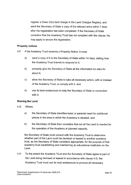register a Class C(iv) land charge in the Land Charges Registry, and send the Secretary of State a copy of the relevant entry within 7 days after the registration has been completed. If the Secretary of State considers that the Academy Trust has not complied with this clause, he may apply to secure the registration.

#### **Property notices**

- 4.F If the Academy Trust receives a Property Notice, it must:
	- a) send a copy of it to the Secretary of State within 14 days, stating how the Academy Trust intends to respond to it;
	- b) promptly give the Secretary of State all the information he asks for about it;
	- c) allow the Secretary of State to take all necessary action, with or instead of the Academy Trust, to comply with it, and
	- d) use its best endeavours to help the Secretary of State in connection with it.

#### **Sharing the Land**

- 4.G Where:
	- a) the Secretary of State identifies basic or parental need for additional places in the area in which the Academy is situated; and
	- b) the Secretary of State then considers that not all the Land is needed for the operation of the Academy at planned capacity,

the Secretary of State must consult with the Academy Trust to determine whether part of the Land could be demised or leased to another academy trust, as the Secretary of State considers appropriate, for the purpose of that academy trust establishing and maintaining an educational institution on the Land.

4.H To the extent the Academy Trust and the Secretary of State agree to part of the Land being demised or leased in accordance with clause 4.G, the Academy Trust must use its best endeavours to procure all necessary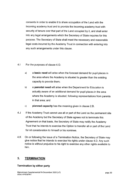consents in order to enable it to share occupation of the Land with the incoming academy trust and to provide the incoming academy trust with security of tenure over that part of the Land occupied by it, and shall enter into any legal arrangements which the Secretary of State requires for this purpose. The Secretary of State shall meet the necessary and reasonable legal costs incurred by the Academy Trust in connection with entering into any such arrangements under this clause.

#### 4.1 For the purposes of clause 4.G:

- a) a **basic need** will arise when the forecast demand for pupil places in the area where the Academy is situated is greater than the existing capacity to provide them;
- b) a **parental need** will arise when the Department for Education is actually aware of an additional demand for pupil places in the area where the Academy is situated, following representations from parents in that area; and
- c) **planned capacity** has the meaning given in clause 2.B.
- 4.J If the Academy Trust cannot use all or part of the Land as the permanent site of the Academy but the Secretary of State agrees not to terminate this Agreement on that basis, the Secretary of State may notify the Academy Trust that he intends to exercise the Option to transfer all or part of the Land for nil consideration to himself or his nominee.
- 4.K On or following the issue of a Termination Notice, the Secretary of State may give notice that he intends to exercise his rights under clause 4.0. Any such notice is without prejudice to his right to exercise any other rights available to him.

#### **5. TERMINATION**

#### **Termination by either party**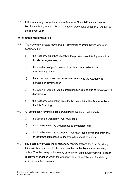5.A Either party may give at least seven Academy Financial Years' notice to terminate this Agreement. Such termination would take effect on 31 August of the relevant year.

#### **Termination Warning Notice**

- 5.B The Secretary of State may serve a Termination Warning Notice where he considers that:
	- a) the Academy Trust has breached the provisions of this Agreement or the Master Agreement; or
	- b) the standards of performance of pupils at the Academy are unacceptably low; or
	- c) there has been a serious breakdown in the way the Academy is managed or governed; or
	- d) the safety of pupils or staff is threatened, including due to breakdown of discipline; or
	- e) the Academy is Coasting provided he has notified the Academy Trust that it is Coasting.
- 5.C A Termination Warning Notice served under clause 5.B will specify:
	- a) the action the Academy Trust must take;
	- b) the date by which the action must be completed; and
	- c) the date by which the Academy Trust must make any representations, or confirm that it agrees to undertake the specified action.
- 5.D The Secretary of State will consider any representations from the Academy Trust which he receives by the date specified in the Termination Warning Notice. The Secretary of State may amend the Termination Warning Notice to specify further action which the Academy Trust must take, and the date by which it must be completed.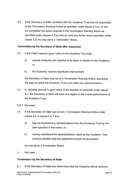5.E If the Secretary of State considers that the Academy Trust has not responded to the Termination Warning Notice as specified under clause 5.C(c), or has not completed the action required in the Termination Warning Notice as specified under clauses 5.C(a) and (b) (and any further action specified under clause 5.D) he may serve a Termination Notice.

#### **Termination by the Secretary of State after inspection**

- 5.F If the Chief Inspector gives notice to the Academy Trust that:
	- a) special measures are required to be taken in relation to the Academy; or
	- b) the Academy requires significant improvement

the Secretary of State may serve a Termination Warning Notice, specifying the date by which the Academy Trust must make any representations.

- 5.G In deciding whether to give notice of his intention to terminate under clause 5.F, the Secretary of State will have due regard to the overall performance of the Academy Trust.
- 5.G.1 Not used.
- 5.H If the Secretary of State has served a Termination Warning Notice under clause 5.F or clause 5.G.1 and:
	- a) has not received any representations from the Academy Trust by the date specified in the notice; or
	- b) having considered the representations made by the Academy Trust remains satisfied that this Agreement should be terminated;

he may serve a Termination Notice.

s.1 Not used.

#### **Termination by the Secretary of State**

5.J If the Secretary of State has determined that the Academy will be removed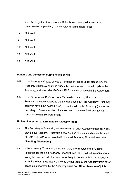from the Register of Independent Schools and no appeal against that determination is pending, he may serve a Termination Notice.

- 5.K Not used.
- 5.L Not used.
- 5.M Not used.
- 5.N Not used.
- 5.o Not used.

#### **Funding and admission during notice period**

- 5.P If the Secretary of State serves a Termination Notice under clause 5.A, the Academy Trust may continue during the notice period to admit pupils to the Academy, and to receive GAG and EAG, in accordance with this Agreement.
- 5.Q If the Secretary of State serves a Termination Warning Notice or a Termination Notice otherwise than under clause 5.A, the Academy Trust may continue during the notice period to admit pupils to the Academy (unless the Secretary of State specifies otherwise), and to receive GAG and EAG, in accordance with this Agreement.

#### **Notice of intention to terminate by Academy Trust**

- 5.R The Secretary of State will, before the start of each Academy Financial Year, provide the Academy Trust with a final funding allocation indicating the level of GAG and EAG to be provided in the next Academy Financial Year (the **"Funding Allocation").**
- 5.5 If the Academy Trust is of the opinion that, after receipt of the Funding Allocation for the next Academy Financial Year (the **"Critical Year")** and after taking into account all other resources likely to be available to the Academy, including other funds that are likely to be available to the Academy from other academies operated by the Academy Trust **("All Other Resources"),** it is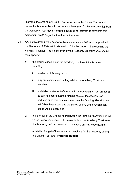likely that the cost of running the Academy during the Critical Year would cause the Academy Trust to become insolvent (and for this reason only) then the Academy Trust may give written notice of its intention to terminate this Agreement on 31 August before the Critical Year.

- 5.T Any notice given by the Academy Trust under clause 5.S must be provided to the Secretary of State within six weeks of the Secretary of State issuing the Funding Allocation. The notice given by the Academy Trust under clause 5.S must specify:
	- a) the grounds upon which the Academy Trust's opinion is based, including:
		- i. evidence of those grounds;
		- ii. any professional accounting advice the Academy Trust has received;
		- iii. a detailed statement of steps which the Academy Trust proposes to take to ensure that the running costs of the Academy are reduced such that costs are less than the Funding Allocation and All Other Resources, and the period of time within which such steps will be taken; and
	- b) the shortfall in the Critical Year between the Funding Allocation and All Other Resources expected to be available to the Academy Trust to run the Academy and the projected expenditure on the Academy; and
	- c) a detailed budget of income and expenditure for the Academy during the Critical Year (the **"Projected Budget").**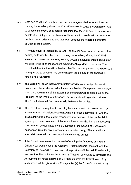- 5.U Both parties will use their best endeavours to agree whether or not the cost of running the Academy during the Critical Year would cause the Academy Trust to become insolvent. Both parties recognise that they will need to engage in a constructive dialogue at the time about how best to provide education for the pupils at the Academy and use their best endeavours to agree a practical solution to the problem.
- s.v If no agreement is reached by 30 April (or another date if agreed between the parties) as to whether the cost of running the Academy during the Critical Year would cause the Academy Trust to become insolvent, then that question will be referred to an independent expert (the **"Expert")** for resolution. The Expert's determination will be final and binding on both parties. The Expert will be requested to specify in his determination the amount of the shortfall in funding (the **"Shortfall").**
- 5.W The Expert will be an insolvency practitioner with significant professional experience of educational institutions or academies. If the parties fail to agree upon the appointment of the Expert then the Expert will be appointed by the President of the Institute of Chartered Accountants in England and Wales. The Expert's fees will be borne equally between the parties.
- 5.X The Expert will be required in reaching his determination to take account of advice from an educational specialist who is professionally familiar with the issues arising from the budget management of schools. If the parties fail to agree upon the appointment of the educational specialist then the educational specialist will be appointed by the Chairman of the Specialist Schools and Academies Trust (or any successor or equivalent body). The educational specialist's fees will be borne equally between the parties.
- 5.Y If the Expert determines that the cost of running the Academy during the Critical Year would cause the Academy Trust to become insolvent, and the Secretary of State will not have agreed to provide sufficient additional funding to cover the Shortfall, then the Academy Trust will be entitled to terminate this Agreement, by notice expiring on 31 August before the Critical Year. Any such notice will be given within 21 days after (a) the Expert's determination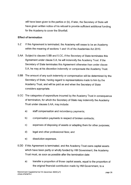will have been given to the parties or (b), if later, the Secretary of State will have given written notice of his refusal to provide sufficient additional funding for the Academy to cover the Shortfall.

#### **Effect of termination**

- 5.Z If this Agreement is terminated, the Academy will cease to be an Academy within the meaning of sections 1 and 1A of the Academies Act 2010.
- 5.AA Subject to clauses 5.BB and 5.CC, if the Secretary of State terminates this Agreement under clause 5.A, he will indemnify the Academy Trust. If the Secretary of State terminates this Agreement otherwise than under clause 5.A, he may at his discretion indemnify or compensate the Academy Trust.
- 5.BB The amount of any such indemnity or compensation will be determined by the Secretary of State, having regard to representations made to him by the Academy Trust, and will be paid as and when the Secretary of State considers appropriate.
- 5.CC The categories of expenditure incurred by the Academy Trust in consequence of termination, for which the Secretary of State may indemnify the Academy Trust under clauses 5.AA, may include:
	- a) staff compensation and redundancy payments;
	- b) compensation payments in respect of broken contracts;
	- c) expenses of disposing of assets or adapting them for other purposes;
	- d) legal and other professional fees; and
	- e) dissolution expenses.
- 5.DD If this Agreement is terminated, and the Academy Trust owns capital assets which have been partly or wholly funded by HM Government, the Academy Trust must, as soon as possible after the termination date:
	- a) transfer a proportion of those capital assets, equal to the proportion of the original financial contribution made by HM Government, to a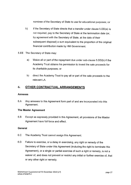nominee of the Secretary of State to use for educational purposes; or

- b) if the Secretary of State directs that a transfer under clause 5.DD(a) is not required, pay to the Secretary of State at the termination date (or, by agreement with the Secretary of State, at the date of their subsequent disposal) a sum equivalent to the proportion of the original financial contribution made by HM Government.
- 5.EE The Secretary of State may:
	- a) Waive all or part of the repayment due under sub-clause 5.DD(b) if the Academy Trust obtains his permission to invest the sale proceeds for its charitable purposes; or
	- b) direct the Academy Trust to pay all or part of the sale proceeds to the relevant LA.

# **6. OTHER CONTRACTUAL ARRANGEMENTS**

#### **Annexes**

6.A Any annexes to this Agreement form part of and are incorporated into this Agreement.

#### **The Master Agreement**

6.B Except as expressly provided in this Agreement, all provisions of the Master Agreement have full force and effect.

#### **General**

- 6.C The Academy Trust cannot assign this Agreement.
- 6.D Failure to exercise, or a delay in exercising, any right or remedy of the Secretary of State under this Agreement (including the right to terminate this Agreement), or a single or partial exercise of such a right or remedy, is not a waiver of, and does not prevent or restrict any initial or further exercise of, that or any other right or remedy.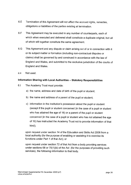- 6.E Termination of this Agreement will not affect the accrued rights, remedies, obligations or liabilities of the parties existing at termination.
- 6.F This Agreement may be executed in any number of counterparts, each of which when executed and delivered shall constitute a duplicate original, but all of which will together constitute the same agreement.
- 6.G This Agreement and any dispute or claim arising out of or in connection with it or its subject matter or formation (including non-contractual disputes or claims) shall be governed by and construed in accordance with the law of England and Wales, and submitted to the exclusive jurisdiction of the courts of England and Wales.
- 6.H Not used.

#### **Information Sharing with Local Authorities - Statutory Responsibilities**

- 6.1 The Academy Trust must provide:
	- a) the name, address and date of birth of the pupil or student;
	- b) the name and address of a parent of the pupil or student;
	- c) information in the institution's possession about the pupil or student (except if the pupil or student concerned (in the case of a pupil or student who has attained the age of 16) or a parent of the pupil or student concerned (in the case of a pupil or student who has not attained the age of 16) has instructed the Academy Trust not to provide information of that kind);

upon request under section 14 of the Education and Skills Act 2008 from a local authority (for the purpose of enabling or assisting it to exercise its functions under Part 1 of that Act); or

upon request under section 72 of that Act from a body providing services under sections 68 or  $70(1)(b)$  of the Act (for the purposes of providing such services), the following information to that body.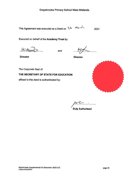This Agreement was executed as a Deed on  $26$  Ma-c 2021

Executed on behalf of the **Academy Trust** by:

HEMOMA 2. . . . . . .

and

 $.14$ 

**Director** 

The Corporate Seal of

**Director** 

**THE SECRETARY OF STATE FOR EDUCATION** 

affixed to this deed is authenticated by:



 $P^{\prime\prime}$ **Duly Authorised** 

Mainstream Supplemental FA December 2020 (v7) LEGAl\47423679vt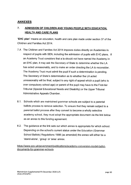# **ANNEXES**

# **7. ADMISSION OF CHILDREN AND YOUNG PEOPLE WITH EDUCATION HEALTH AND CARE PLANS**

**"EHC plan"** means an education, health and care plan made under section 37 of the Children and Families Act 2014.

- 7.A The Children and Families Act 2014 imposes duties directly on Academies in respect of pupils with SEN, including the admission of pupils with EHC plans. If an Academy Trust considers that a la should not have named the Academy in an EHC plan, it may ask the Secretary of State to determine whether the LA has acted unreasonably, and to make an order directing the LA to reconsider. The Academy Trust must admit the pupil if such a determination is pending. The Secretary of State's determination as to whether the LA acted unreasonably will be final, subject to any right of appeal which a pupil (who is over compulsory school age) or parent of the pupil may have to the First-tier Tribunal (Special Educational Needs and Disability) or the Upper Tribunal Administrative Appeals Chamber.
- 8.1. Schools which are maintained grammar schools are subject to a parental ballots process to remove selection. To ensure that they remain subject to a parental ballot process after they convert to become a wholly selective academy school, they must adopt the appropriate document via the link below as an annex to this funding agreement.
- 8.2. The guidance at the link sets out which annex is appropriate for which school. Depending on the school's current status under the Education (Grammar School Ballots) Regulations 1998 (as amended) the annex will either be a 'stand-alone', 'group' or 'area' annex.

https://www.gov.uk/government/publications/academy-conversion-model-ballotdocuments-for-grammar-schools